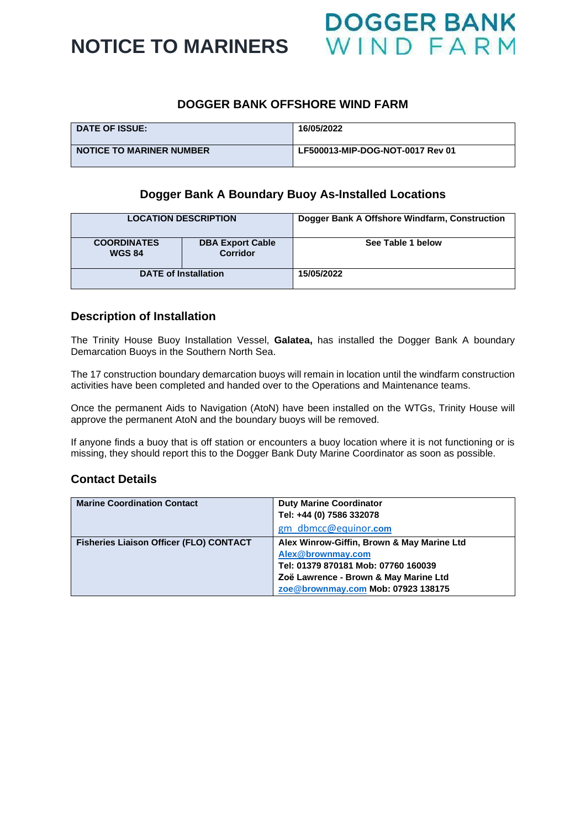**NOTICE TO MARINERS** 

## **DOGGER BANK OFFSHORE WIND FARM**

| <b>DATE OF ISSUE:</b>           | 16/05/2022                       |
|---------------------------------|----------------------------------|
| <b>NOTICE TO MARINER NUMBER</b> | LF500013-MIP-DOG-NOT-0017 Rev 01 |

## **Dogger Bank A Boundary Buoy As-Installed Locations**

| <b>LOCATION DESCRIPTION</b>         |                                            | Dogger Bank A Offshore Windfarm, Construction |  |
|-------------------------------------|--------------------------------------------|-----------------------------------------------|--|
| <b>COORDINATES</b><br><b>WGS 84</b> | <b>DBA Export Cable</b><br><b>Corridor</b> | See Table 1 below                             |  |
| <b>DATE of Installation</b>         |                                            | 15/05/2022                                    |  |

## **Description of Installation**

The Trinity House Buoy Installation Vessel, **Galatea,** has installed the Dogger Bank A boundary Demarcation Buoys in the Southern North Sea.

The 17 construction boundary demarcation buoys will remain in location until the windfarm construction activities have been completed and handed over to the Operations and Maintenance teams.

Once the permanent Aids to Navigation (AtoN) have been installed on the WTGs, Trinity House will approve the permanent AtoN and the boundary buoys will be removed.

If anyone finds a buoy that is off station or encounters a buoy location where it is not functioning or is missing, they should report this to the Dogger Bank Duty Marine Coordinator as soon as possible.

#### **Contact Details**

| <b>Marine Coordination Contact</b>             | <b>Duty Marine Coordinator</b><br>Tel: +44 (0) 7586 332078<br>gm dbmcc@equinor.com                                                                                                    |
|------------------------------------------------|---------------------------------------------------------------------------------------------------------------------------------------------------------------------------------------|
| <b>Fisheries Liaison Officer (FLO) CONTACT</b> | Alex Winrow-Giffin, Brown & May Marine Ltd<br>Alex@brownmay.com<br>Tel: 01379 870181 Mob: 07760 160039<br>Zoë Lawrence - Brown & May Marine Ltd<br>zoe@brownmay.com Mob: 07923 138175 |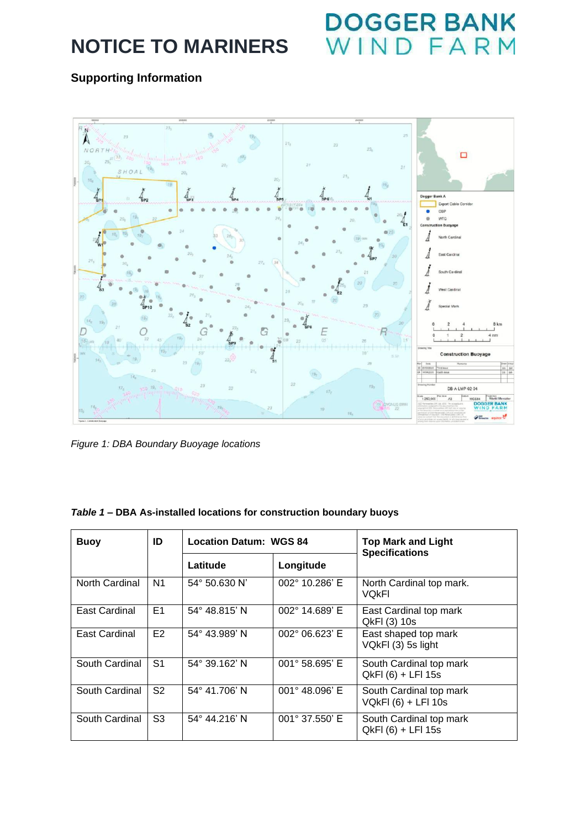# **NOTICE TO MARINERS**

# DOGGER BANK<br>WIND FARM

# **Supporting Information**



*Figure 1: DBA Boundary Buoyage locations*

## *Table 1 –* **DBA As-installed locations for construction boundary buoys**

| <b>Buoy</b>    | ID             | <b>Location Datum: WGS 84</b> |                         | <b>Top Mark and Light</b><br><b>Specifications</b> |  |
|----------------|----------------|-------------------------------|-------------------------|----------------------------------------------------|--|
|                |                | Latitude                      | Longitude               |                                                    |  |
| North Cardinal | N <sub>1</sub> | $54^{\circ}$ 50.630 N'        | $002^{\circ}$ 10.286' E | North Cardinal top mark.<br><b>VOKFI</b>           |  |
| East Cardinal  | E <sub>1</sub> | $54^{\circ}$ 48.815' N        | $002^{\circ}$ 14.689' E | East Cardinal top mark<br>QkFI (3) 10s             |  |
| East Cardinal  | E <sub>2</sub> | $54^{\circ}$ 43.989' N        | 002° 06.623' E          | East shaped top mark<br>VQkFI (3) 5s light         |  |
| South Cardinal | S <sub>1</sub> | 54° 39.162' N                 | $001^{\circ}$ 58.695' E | South Cardinal top mark<br>QkFI (6) + LFI 15s      |  |
| South Cardinal | S <sub>2</sub> | 54° 41.706' N                 | $001^{\circ}$ 48.096' E | South Cardinal top mark<br>VQkFI (6) + LFI 10s     |  |
| South Cardinal | S <sub>3</sub> | 54° 44.216' N                 | $001^{\circ}$ 37.550' E | South Cardinal top mark<br>QkFI (6) + LFI 15s      |  |